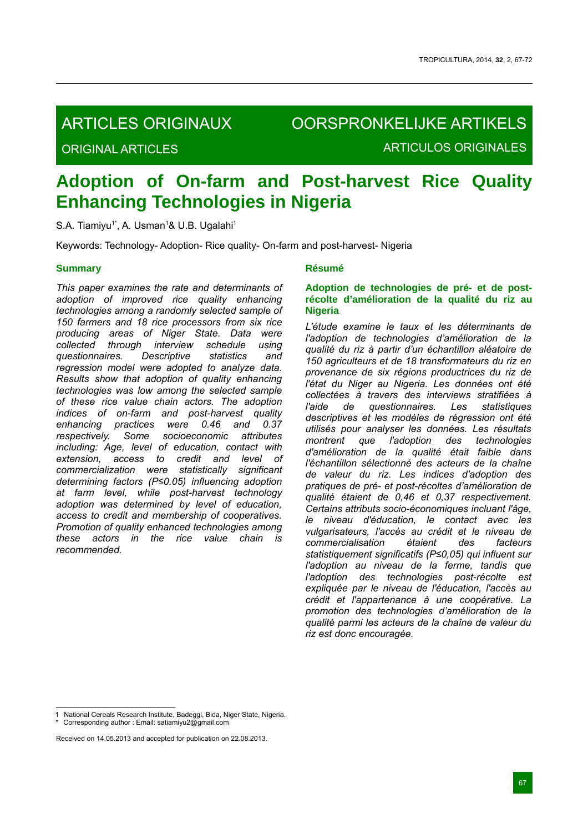# ARTICLES ORIGINAUX

ORIGINAL ARTICLES

OORSPRONKELIJKE ARTIKELS ARTICULOS ORIGINALES

# **Adoption of On-farm and Post-harvest Rice Quality Enhancing Technologies in Nigeria**

S.A. Tiamiyu<sup>1\*</sup>, A. Usman<sup>1</sup>& U.B. Ugalahi<sup>1</sup>

Keywords: Technology- Adoption- Rice quality- On-farm and post-harvest- Nigeria

# **Summary**

*This paper examines the rate and determinants of adoption of improved rice quality enhancing technologies among a randomly selected sample of 150 farmers and 18 rice processors from six rice producing areas of Niger State. Data were collected through interview schedule using questionnaires. Descriptive statistics and regression model were adopted to analyze data. Results show that adoption of quality enhancing technologies was low among the selected sample of these rice value chain actors. The adoption indices of on-farm and post-harvest quality enhancing practices were 0.46 and 0.37 respectively. Some socioeconomic attributes including: Age, level of education, contact with extension, access to credit and level of commercialization were statistically significant determining factors (P≤0.05) influencing adoption at farm level, while post-harvest technology adoption was determined by level of education, access to credit and membership of cooperatives. Promotion of quality enhanced technologies among these actors in the rice value chain is recommended.*

### **Résumé**

# **Adoption de technologies de pré- et de postrécolte d'amélioration de la qualité du riz au Nigeria**

*L'étude examine le taux et les déterminants de l'adoption de technologies d'amélioration de la qualité du riz à partir d'un échantillon aléatoire de 150 agriculteurs et de 18 transformateurs du riz en provenance de six régions productrices du riz de l'état du Niger au Nigeria. Les données ont été collectées à travers des interviews stratifiées à l'aide de questionnaires. Les statistiques descriptives et les modèles de régression ont été utilisés pour analyser les données. Les résultats montrent que l'adoption des technologies d'amélioration de la qualité était faible dans l'échantillon sélectionné des acteurs de la chaîne de valeur du riz. Les indices d'adoption des pratiques de pré- et post-récoltes d'amélioration de qualité étaient de 0,46 et 0,37 respectivement. Certains attributs socio-économiques incluant l'âge, le niveau d'éducation, le contact avec les vulgarisateurs, l'accès au crédit et le niveau de commercialisation étaient des facteurs statistiquement significatifs (P≤0,05) qui influent sur l'adoption au niveau de la ferme, tandis que l'adoption des technologies post-récolte est expliquée par le niveau de l'éducation, l'accès au crédit et l'appartenance à une coopérative. La promotion des technologies d'amélioration de la qualité parmi les acteurs de la chaîne de valeur du riz est donc encouragée.*

<sup>1</sup> National Cereals Research Institute, Badeggi, Bida, Niger State, Nigeria. \* Corresponding author : Email: satiamiyu2@gmail.com

Received on 14.05.2013 and accepted for publication on 22.08.2013.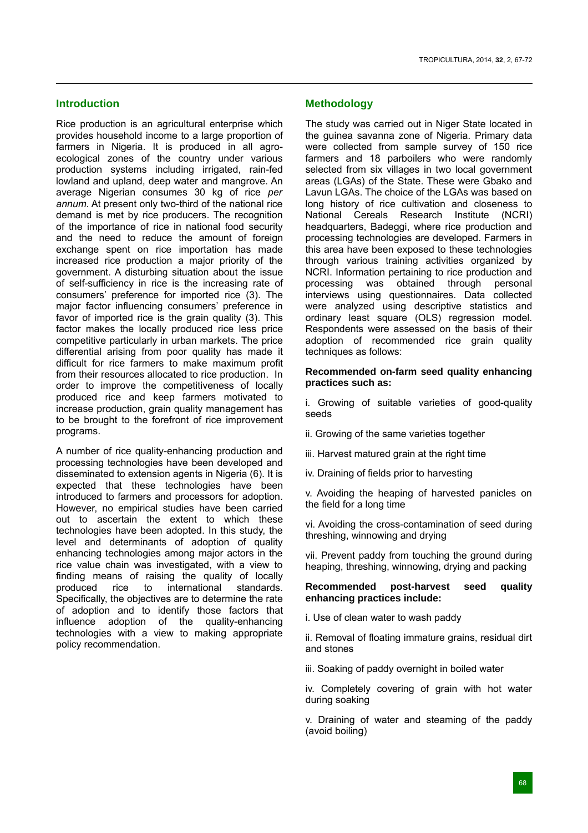# **Introduction**

Rice production is an agricultural enterprise which provides household income to a large proportion of farmers in Nigeria. It is produced in all agroecological zones of the country under various production systems including irrigated, rain-fed lowland and upland, deep water and mangrove. An average Nigerian consumes 30 kg of rice *per annum*. At present only two-third of the national rice demand is met by rice producers. The recognition of the importance of rice in national food security and the need to reduce the amount of foreign exchange spent on rice importation has made increased rice production a major priority of the government. A disturbing situation about the issue of self-sufficiency in rice is the increasing rate of consumers' preference for imported rice (3). The major factor influencing consumers' preference in favor of imported rice is the grain quality (3). This factor makes the locally produced rice less price competitive particularly in urban markets. The price differential arising from poor quality has made it difficult for rice farmers to make maximum profit from their resources allocated to rice production. In order to improve the competitiveness of locally produced rice and keep farmers motivated to increase production, grain quality management has to be brought to the forefront of rice improvement programs.

A number of rice quality-enhancing production and processing technologies have been developed and disseminated to extension agents in Nigeria (6). It is expected that these technologies have been introduced to farmers and processors for adoption. However, no empirical studies have been carried out to ascertain the extent to which these technologies have been adopted. In this study, the level and determinants of adoption of quality enhancing technologies among major actors in the rice value chain was investigated, with a view to finding means of raising the quality of locally produced rice to international standards. Specifically, the objectives are to determine the rate of adoption and to identify those factors that influence adoption of the quality-enhancing technologies with a view to making appropriate policy recommendation.

# **Methodology**

The study was carried out in Niger State located in the guinea savanna zone of Nigeria. Primary data were collected from sample survey of 150 rice farmers and 18 parboilers who were randomly selected from six villages in two local government areas (LGAs) of the State. These were Gbako and Lavun LGAs. The choice of the LGAs was based on long history of rice cultivation and closeness to National Cereals Research Institute (NCRI) headquarters, Badeggi, where rice production and processing technologies are developed. Farmers in this area have been exposed to these technologies through various training activities organized by NCRI. Information pertaining to rice production and processing was obtained through personal interviews using questionnaires. Data collected were analyzed using descriptive statistics and ordinary least square (OLS) regression model. Respondents were assessed on the basis of their adoption of recommended rice grain quality techniques as follows:

#### **Recommended on-farm seed quality enhancing practices such as:**

i. Growing of suitable varieties of good-quality seeds

- ii. Growing of the same varieties together
- iii. Harvest matured grain at the right time
- iv. Draining of fields prior to harvesting

v. Avoiding the heaping of harvested panicles on the field for a long time

vi. Avoiding the cross-contamination of seed during threshing, winnowing and drying

vii. Prevent paddy from touching the ground during heaping, threshing, winnowing, drying and packing

#### **Recommended post-harvest seed quality enhancing practices include:**

i. Use of clean water to wash paddy

ii. Removal of floating immature grains, residual dirt and stones

iii. Soaking of paddy overnight in boiled water

iv. Completely covering of grain with hot water during soaking

v. Draining of water and steaming of the paddy (avoid boiling)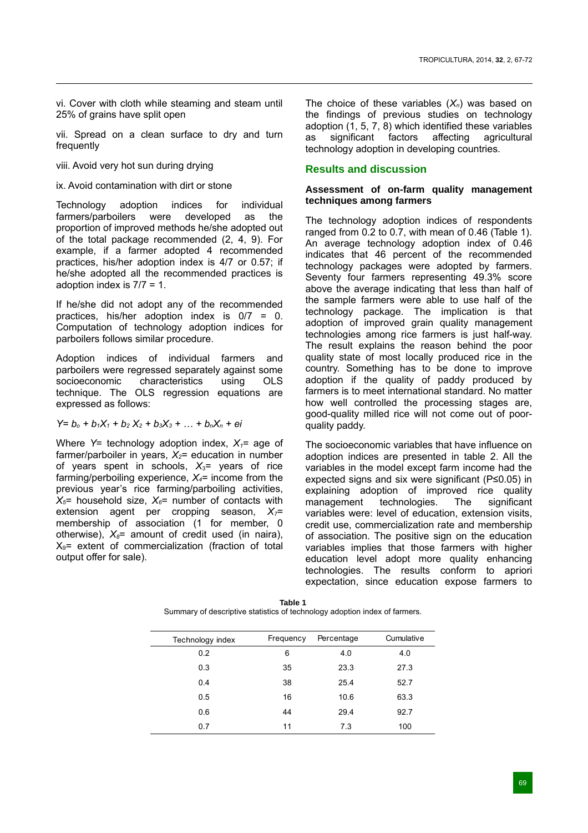vi. Cover with cloth while steaming and steam until 25% of grains have split open

vii. Spread on a clean surface to dry and turn frequently

- viii. Avoid very hot sun during drying
- ix. Avoid contamination with dirt or stone

Technology adoption indices for individual farmers/parboilers were developed as the proportion of improved methods he/she adopted out of the total package recommended (2, 4, 9). For example, if a farmer adopted 4 recommended practices, his/her adoption index is 4/7 or 0.57; if he/she adopted all the recommended practices is adoption index is 7/7 = 1.

If he/she did not adopt any of the recommended practices, his/her adoption index is 0/7 = 0. Computation of technology adoption indices for parboilers follows similar procedure.

Adoption indices of individual farmers and parboilers were regressed separately against some socioeconomic characteristics using OLS technique. The OLS regression equations are expressed as follows:

$$
Y = b_0 + b_1X_1 + b_2X_2 + b_3X_3 + \dots + b_nX_n + ei
$$

Where  $Y=$  technology adoption index,  $X_1=$  age of farmer/parboiler in years,  $X_2$ = education in number of years spent in schools, *X*3= years of rice farming/perboiling experience,  $X_4$ = income from the previous year's rice farming/parboiling activities,  $X_5$ = household size,  $X_6$ = number of contacts with extension agent per cropping season,  $X_{7}$ = membership of association (1 for member, 0 otherwise),  $X_8$ = amount of credit used (in naira),  $X<sub>9</sub>=$  extent of commercialization (fraction of total output offer for sale).

The choice of these variables  $(X_n)$  was based on the findings of previous studies on technology adoption  $(1, 5, 7, 8)$  which identified these variables as significant factors affecting agricultural technology adoption in developing countries.

# **Results and discussion**

### **Assessment of on-farm quality management techniques among farmers**

The technology adoption indices of respondents ranged from 0.2 to 0.7, with mean of 0.46 (Table 1). An average technology adoption index of 0.46 indicates that 46 percent of the recommended technology packages were adopted by farmers. Seventy four farmers representing 49.3% score above the average indicating that less than half of the sample farmers were able to use half of the technology package. The implication is that adoption of improved grain quality management technologies among rice farmers is just half-way. The result explains the reason behind the poor quality state of most locally produced rice in the country. Something has to be done to improve adoption if the quality of paddy produced by farmers is to meet international standard. No matter how well controlled the processing stages are, good-quality milled rice will not come out of poorquality paddy.

The socioeconomic variables that have influence on adoption indices are presented in table 2. All the variables in the model except farm income had the expected signs and six were significant (P≤0.05) in explaining adoption of improved rice quality management technologies. The significant variables were: level of education, extension visits, credit use, commercialization rate and membership of association. The positive sign on the education variables implies that those farmers with higher education level adopt more quality enhancing technologies. The results conform to apriori expectation, since education expose farmers to

| Technology index | Frequency | Percentage | Cumulative |
|------------------|-----------|------------|------------|
| 0.2              | 6         | 4.0        | 4.0        |
| 0.3              | 35        | 23.3       | 27.3       |
| 0.4              | 38        | 25.4       | 52.7       |
| 0.5              | 16        | 10.6       | 63.3       |
| 0.6              | 44        | 29.4       | 92.7       |
| 0.7              | 11        | 7.3        | 100        |

**Table 1** Summary of descriptive statistics of technology adoption index of farmers.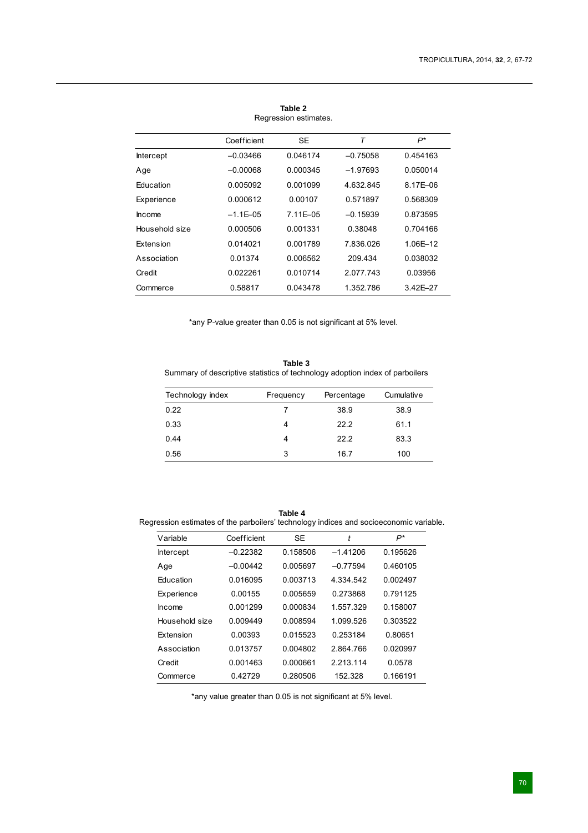|                  | Coefficient   | <b>SE</b> | T          | P*           |
|------------------|---------------|-----------|------------|--------------|
| <b>Intercept</b> | $-0.03466$    | 0.046174  | $-0.75058$ | 0.454163     |
| Age              | $-0.00068$    | 0.000345  | $-1.97693$ | 0.050014     |
| Education        | 0.005092      | 0.001099  | 4.632.845  | 8.17E-06     |
| Experience       | 0.000612      | 0.00107   | 0.571897   | 0.568309     |
| <b>Income</b>    | $-1.1E - 0.5$ | 7.11E-05  | $-0.15939$ | 0.873595     |
| Household size   | 0.000506      | 0.001331  | 0.38048    | 0.704166     |
| Extension        | 0.014021      | 0.001789  | 7.836.026  | 1.06E-12     |
| Association      | 0.01374       | 0.006562  | 209 434    | 0.038032     |
| Credit           | 0022261       | 0.010714  | 2 077 743  | 0.03956      |
| Commerce         | 0.58817       | 0.043478  | 1.352.786  | $3.42E - 27$ |

**Table 2** Regression estimates.

\*any P-value greater than 0.05 is not significant at 5% level.

**Table 3** Summary of descriptive statistics of technology adoption index of parboilers

| Technology index | Frequency | Percentage | Cumulative |
|------------------|-----------|------------|------------|
| 0.22             |           | 38.9       | 38.9       |
| 0.33             | 4         | 22.2       | 61.1       |
| 0.44             | 4         | 22.2       | 83.3       |
| 0.56             | 3         | 16.7       | 100        |

**Table 4** Regression estimates of the parboilers' technology indices and socioeconomic variable.

| Variable         | Coefficient | SE       | t          | $P^*$    |
|------------------|-------------|----------|------------|----------|
| <b>Intercept</b> | $-0.22382$  | 0.158506 | $-1.41206$ | 0.195626 |
| Age              | $-0.00442$  | 0.005697 | $-0.77594$ | 0.460105 |
| <b>Education</b> | 0.016095    | 0.003713 | 4.334.542  | 0.002497 |
| Experience       | 0.00155     | 0.005659 | 0.273868   | 0 791125 |
| <b>Income</b>    | 0.001299    | 0.000834 | 1 557 329  | 0.158007 |
| Household size   | 0.009449    | 0.008594 | 1.099.526  | 0.303522 |
| <b>Extension</b> | 0.00393     | 0.015523 | 0 253184   | 0.80651  |
| Association      | 0.013757    | 0.004802 | 2864766    | 0.020997 |
| Credit           | 0.001463    | 0.000661 | 2 213 114  | 0.0578   |
| Commerce         | 0.42729     | 0.280506 | 152.328    | 0.166191 |

\*any value greater than 0.05 is not significant at 5% level.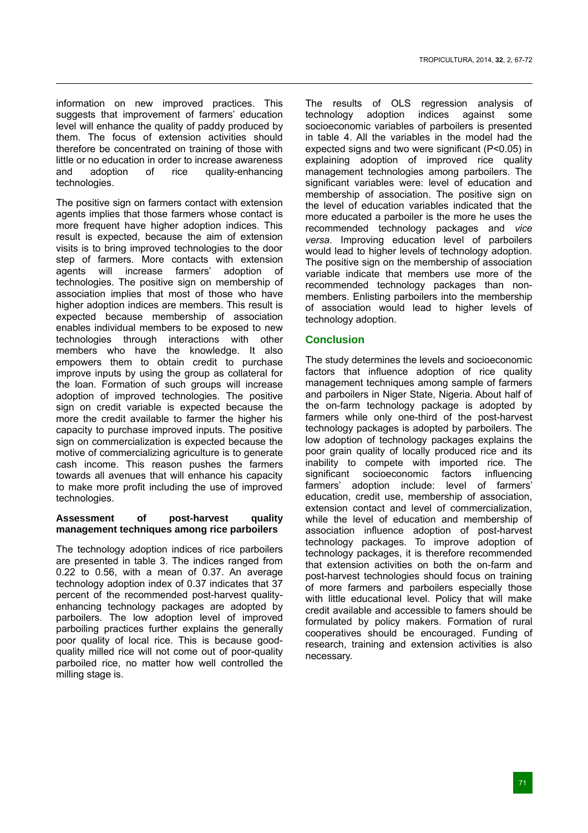information on new improved practices. This suggests that improvement of farmers' education level will enhance the quality of paddy produced by them. The focus of extension activities should therefore be concentrated on training of those with little or no education in order to increase awareness and adoption of rice quality-enhancing technologies.

The positive sign on farmers contact with extension agents implies that those farmers whose contact is more frequent have higher adoption indices. This result is expected, because the aim of extension visits is to bring improved technologies to the door step of farmers. More contacts with extension<br>agents will increase farmers' adoption of agents will increase farmers' adoption of technologies. The positive sign on membership of association implies that most of those who have higher adoption indices are members. This result is expected because membership of association enables individual members to be exposed to new technologies through interactions with other members who have the knowledge. It also empowers them to obtain credit to purchase improve inputs by using the group as collateral for the loan. Formation of such groups will increase adoption of improved technologies. The positive sign on credit variable is expected because the more the credit available to farmer the higher his capacity to purchase improved inputs. The positive sign on commercialization is expected because the motive of commercializing agriculture is to generate cash income. This reason pushes the farmers towards all avenues that will enhance his capacity to make more profit including the use of improved technologies.

# **Assessment of post-harvest quality management techniques among rice parboilers**

The technology adoption indices of rice parboilers are presented in table 3. The indices ranged from 0.22 to 0.56, with a mean of 0.37. An average technology adoption index of 0.37 indicates that 37 percent of the recommended post-harvest qualityenhancing technology packages are adopted by parboilers. The low adoption level of improved parboiling practices further explains the generally poor quality of local rice. This is because goodquality milled rice will not come out of poor-quality parboiled rice, no matter how well controlled the milling stage is.

The results of OLS regression analysis of technology adoption indices against some socioeconomic variables of parboilers is presented in table 4. All the variables in the model had the expected signs and two were significant (P<0.05) in explaining adoption of improved rice quality management technologies among parboilers. The significant variables were: level of education and membership of association. The positive sign on the level of education variables indicated that the more educated a parboiler is the more he uses the recommended technology packages and *vice versa*. Improving education level of parboilers would lead to higher levels of technology adoption. The positive sign on the membership of association variable indicate that members use more of the recommended technology packages than nonmembers. Enlisting parboilers into the membership of association would lead to higher levels of technology adoption.

# **Conclusion**

The study determines the levels and socioeconomic factors that influence adoption of rice quality management techniques among sample of farmers and parboilers in Niger State, Nigeria. About half of the on-farm technology package is adopted by farmers while only one-third of the post-harvest technology packages is adopted by parboilers. The low adoption of technology packages explains the poor grain quality of locally produced rice and its inability to compete with imported rice. The significant socioeconomic factors influencing farmers' adoption include: level of farmers' education, credit use, membership of association, extension contact and level of commercialization, while the level of education and membership of association influence adoption of post-harvest technology packages. To improve adoption of technology packages, it is therefore recommended that extension activities on both the on-farm and post-harvest technologies should focus on training of more farmers and parboilers especially those with little educational level. Policy that will make credit available and accessible to famers should be formulated by policy makers. Formation of rural cooperatives should be encouraged. Funding of research, training and extension activities is also necessary.